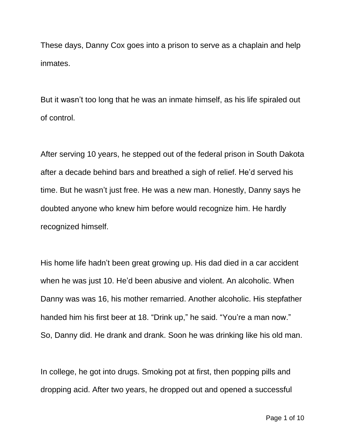These days, Danny Cox goes into a prison to serve as a chaplain and help inmates.

But it wasn't too long that he was an inmate himself, as his life spiraled out of control.

After serving 10 years, he stepped out of the federal prison in South Dakota after a decade behind bars and breathed a sigh of relief. He'd served his time. But he wasn't just free. He was a new man. Honestly, Danny says he doubted anyone who knew him before would recognize him. He hardly recognized himself.

His home life hadn't been great growing up. His dad died in a car accident when he was just 10. He'd been abusive and violent. An alcoholic. When Danny was was 16, his mother remarried. Another alcoholic. His stepfather handed him his first beer at 18. "Drink up," he said. "You're a man now." So, Danny did. He drank and drank. Soon he was drinking like his old man.

In college, he got into drugs. Smoking pot at first, then popping pills and dropping acid. After two years, he dropped out and opened a successful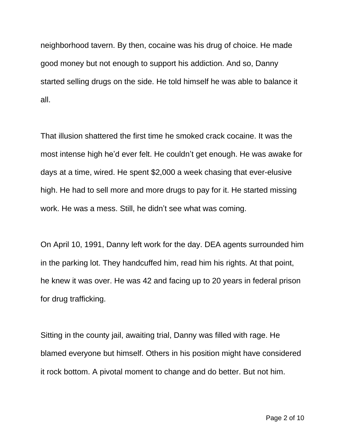neighborhood tavern. By then, cocaine was his drug of choice. He made good money but not enough to support his addiction. And so, Danny started selling drugs on the side. He told himself he was able to balance it all.

That illusion shattered the first time he smoked crack cocaine. It was the most intense high he'd ever felt. He couldn't get enough. He was awake for days at a time, wired. He spent \$2,000 a week chasing that ever-elusive high. He had to sell more and more drugs to pay for it. He started missing work. He was a mess. Still, he didn't see what was coming.

On April 10, 1991, Danny left work for the day. DEA agents surrounded him in the parking lot. They handcuffed him, read him his rights. At that point, he knew it was over. He was 42 and facing up to 20 years in federal prison for drug trafficking.

Sitting in the county jail, awaiting trial, Danny was filled with rage. He blamed everyone but himself. Others in his position might have considered it rock bottom. A pivotal moment to change and do better. But not him.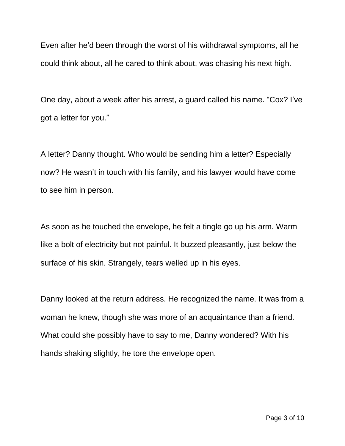Even after he'd been through the worst of his withdrawal symptoms, all he could think about, all he cared to think about, was chasing his next high.

One day, about a week after his arrest, a guard called his name. "Cox? I've got a letter for you."

A letter? Danny thought. Who would be sending him a letter? Especially now? He wasn't in touch with his family, and his lawyer would have come to see him in person.

As soon as he touched the envelope, he felt a tingle go up his arm. Warm like a bolt of electricity but not painful. It buzzed pleasantly, just below the surface of his skin. Strangely, tears welled up in his eyes.

Danny looked at the return address. He recognized the name. It was from a woman he knew, though she was more of an acquaintance than a friend. What could she possibly have to say to me, Danny wondered? With his hands shaking slightly, he tore the envelope open.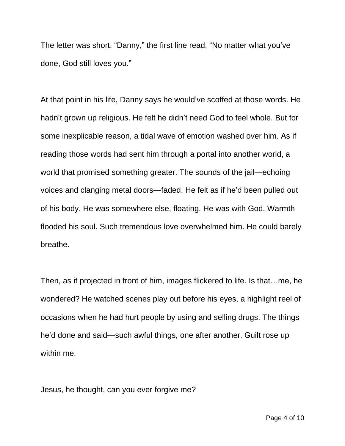The letter was short. "Danny," the first line read, "No matter what you've done, God still loves you."

At that point in his life, Danny says he would've scoffed at those words. He hadn't grown up religious. He felt he didn't need God to feel whole. But for some inexplicable reason, a tidal wave of emotion washed over him. As if reading those words had sent him through a portal into another world, a world that promised something greater. The sounds of the jail—echoing voices and clanging metal doors—faded. He felt as if he'd been pulled out of his body. He was somewhere else, floating. He was with God. Warmth flooded his soul. Such tremendous love overwhelmed him. He could barely breathe.

Then, as if projected in front of him, images flickered to life. Is that…me, he wondered? He watched scenes play out before his eyes, a highlight reel of occasions when he had hurt people by using and selling drugs. The things he'd done and said—such awful things, one after another. Guilt rose up within me.

Jesus, he thought, can you ever forgive me?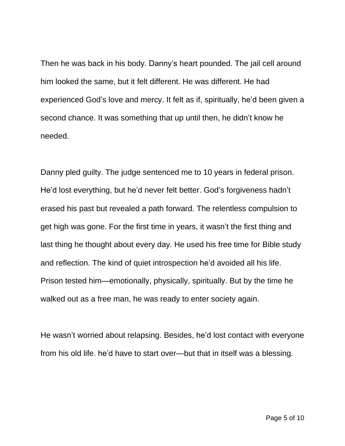Then he was back in his body. Danny's heart pounded. The jail cell around him looked the same, but it felt different. He was different. He had experienced God's love and mercy. It felt as if, spiritually, he'd been given a second chance. It was something that up until then, he didn't know he needed.

Danny pled guilty. The judge sentenced me to 10 years in federal prison. He'd lost everything, but he'd never felt better. God's forgiveness hadn't erased his past but revealed a path forward. The relentless compulsion to get high was gone. For the first time in years, it wasn't the first thing and last thing he thought about every day. He used his free time for Bible study and reflection. The kind of quiet introspection he'd avoided all his life. Prison tested him—emotionally, physically, spiritually. But by the time he walked out as a free man, he was ready to enter society again.

He wasn't worried about relapsing. Besides, he'd lost contact with everyone from his old life. he'd have to start over—but that in itself was a blessing.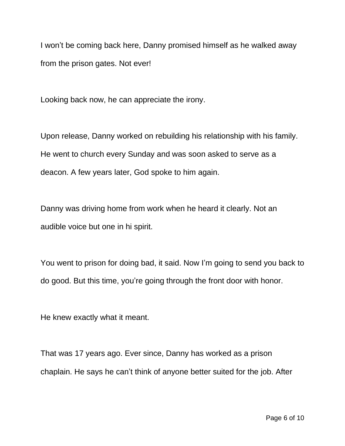I won't be coming back here, Danny promised himself as he walked away from the prison gates. Not ever!

Looking back now, he can appreciate the irony.

Upon release, Danny worked on rebuilding his relationship with his family. He went to church every Sunday and was soon asked to serve as a deacon. A few years later, God spoke to him again.

Danny was driving home from work when he heard it clearly. Not an audible voice but one in hi spirit.

You went to prison for doing bad, it said. Now I'm going to send you back to do good. But this time, you're going through the front door with honor.

He knew exactly what it meant.

That was 17 years ago. Ever since, Danny has worked as a prison chaplain. He says he can't think of anyone better suited for the job. After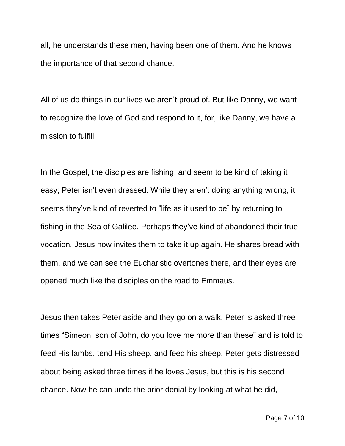all, he understands these men, having been one of them. And he knows the importance of that second chance.

All of us do things in our lives we aren't proud of. But like Danny, we want to recognize the love of God and respond to it, for, like Danny, we have a mission to fulfill.

In the Gospel, the disciples are fishing, and seem to be kind of taking it easy; Peter isn't even dressed. While they aren't doing anything wrong, it seems they've kind of reverted to "life as it used to be" by returning to fishing in the Sea of Galilee. Perhaps they've kind of abandoned their true vocation. Jesus now invites them to take it up again. He shares bread with them, and we can see the Eucharistic overtones there, and their eyes are opened much like the disciples on the road to Emmaus.

Jesus then takes Peter aside and they go on a walk. Peter is asked three times "Simeon, son of John, do you love me more than these" and is told to feed His lambs, tend His sheep, and feed his sheep. Peter gets distressed about being asked three times if he loves Jesus, but this is his second chance. Now he can undo the prior denial by looking at what he did,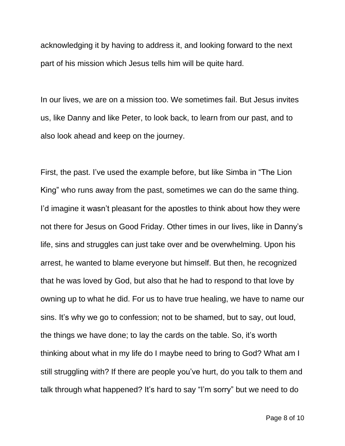acknowledging it by having to address it, and looking forward to the next part of his mission which Jesus tells him will be quite hard.

In our lives, we are on a mission too. We sometimes fail. But Jesus invites us, like Danny and like Peter, to look back, to learn from our past, and to also look ahead and keep on the journey.

First, the past. I've used the example before, but like Simba in "The Lion King" who runs away from the past, sometimes we can do the same thing. I'd imagine it wasn't pleasant for the apostles to think about how they were not there for Jesus on Good Friday. Other times in our lives, like in Danny's life, sins and struggles can just take over and be overwhelming. Upon his arrest, he wanted to blame everyone but himself. But then, he recognized that he was loved by God, but also that he had to respond to that love by owning up to what he did. For us to have true healing, we have to name our sins. It's why we go to confession; not to be shamed, but to say, out loud, the things we have done; to lay the cards on the table. So, it's worth thinking about what in my life do I maybe need to bring to God? What am I still struggling with? If there are people you've hurt, do you talk to them and talk through what happened? It's hard to say "I'm sorry" but we need to do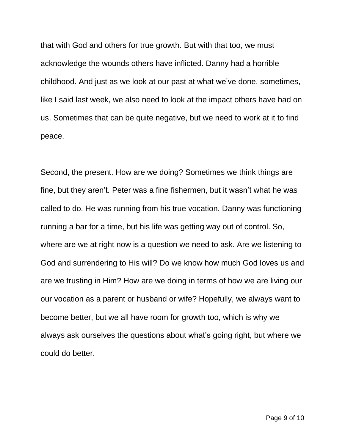that with God and others for true growth. But with that too, we must acknowledge the wounds others have inflicted. Danny had a horrible childhood. And just as we look at our past at what we've done, sometimes, like I said last week, we also need to look at the impact others have had on us. Sometimes that can be quite negative, but we need to work at it to find peace.

Second, the present. How are we doing? Sometimes we think things are fine, but they aren't. Peter was a fine fishermen, but it wasn't what he was called to do. He was running from his true vocation. Danny was functioning running a bar for a time, but his life was getting way out of control. So, where are we at right now is a question we need to ask. Are we listening to God and surrendering to His will? Do we know how much God loves us and are we trusting in Him? How are we doing in terms of how we are living our our vocation as a parent or husband or wife? Hopefully, we always want to become better, but we all have room for growth too, which is why we always ask ourselves the questions about what's going right, but where we could do better.